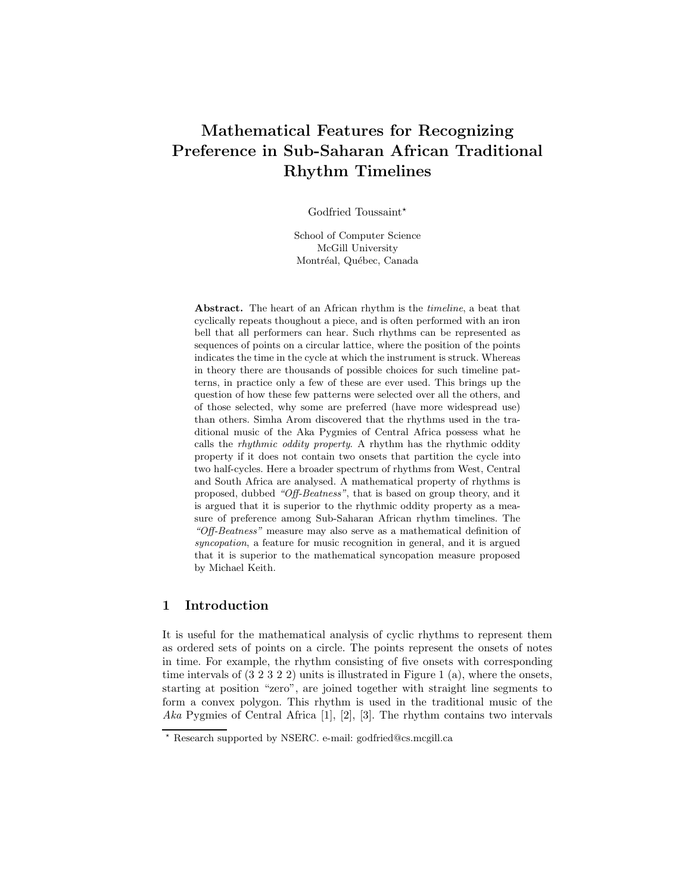# Mathematical Features for Recognizing Preference in Sub-Saharan African Traditional Rhythm Timelines

Godfried Toussaint\*

School of Computer Science McGill University Montréal, Québec, Canada

Abstract. The heart of an African rhythm is the timeline, a beat that cyclically repeats thoughout a piece, and is often performed with an iron bell that all performers can hear. Such rhythms can be represented as sequences of points on a circular lattice, where the position of the points indicates the time in the cycle at which the instrument is struck. Whereas in theory there are thousands of possible choices for such timeline patterns, in practice only a few of these are ever used. This brings up the question of how these few patterns were selected over all the others, and of those selected, why some are preferred (have more widespread use) than others. Simha Arom discovered that the rhythms used in the traditional music of the Aka Pygmies of Central Africa possess what he calls the rhythmic oddity property. A rhythm has the rhythmic oddity property if it does not contain two onsets that partition the cycle into two half-cycles. Here a broader spectrum of rhythms from West, Central and South Africa are analysed. A mathematical property of rhythms is proposed, dubbed "Off-Beatness", that is based on group theory, and it is argued that it is superior to the rhythmic oddity property as a measure of preference among Sub-Saharan African rhythm timelines. The "Off-Beatness" measure may also serve as a mathematical definition of syncopation, a feature for music recognition in general, and it is argued that it is superior to the mathematical syncopation measure proposed by Michael Keith.

### 1 Introduction

It is useful for the mathematical analysis of cyclic rhythms to represent them as ordered sets of points on a circle. The points represent the onsets of notes in time. For example, the rhythm consisting of five onsets with corresponding time intervals of  $(3\ 2\ 3\ 2\ 2)$  units is illustrated in Figure 1 (a), where the onsets, starting at position "zero", are joined together with straight line segments to form a convex polygon. This rhythm is used in the traditional music of the Aka Pygmies of Central Africa [1], [2], [3]. The rhythm contains two intervals

<sup>?</sup> Research supported by NSERC. e-mail: godfried@cs.mcgill.ca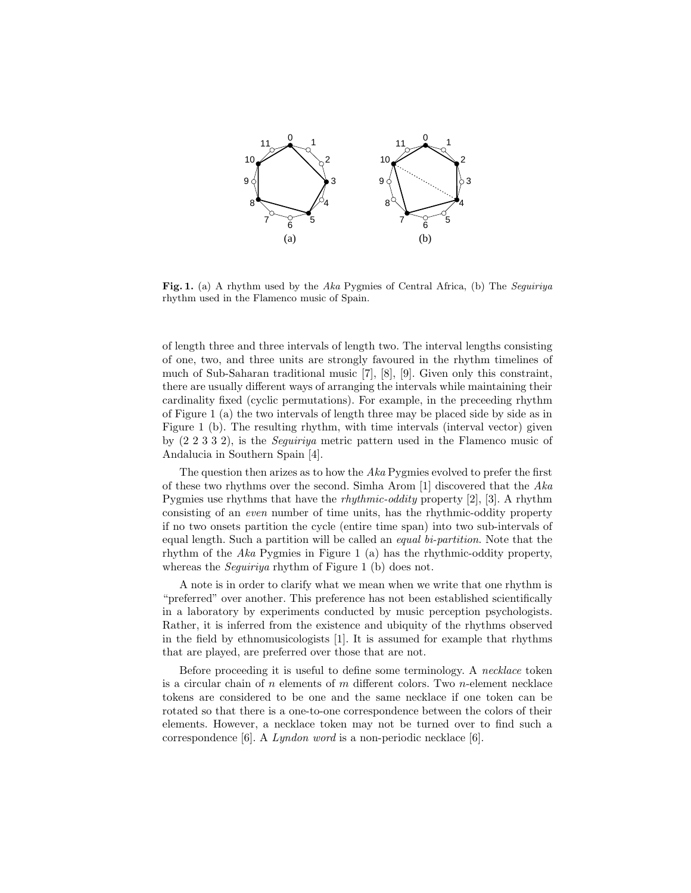

Fig. 1. (a) A rhythm used by the Aka Pygmies of Central Africa, (b) The Seguiriya rhythm used in the Flamenco music of Spain.

of length three and three intervals of length two. The interval lengths consisting of one, two, and three units are strongly favoured in the rhythm timelines of much of Sub-Saharan traditional music [7], [8], [9]. Given only this constraint, there are usually different ways of arranging the intervals while maintaining their cardinality fixed (cyclic permutations). For example, in the preceeding rhythm of Figure 1 (a) the two intervals of length three may be placed side by side as in Figure 1 (b). The resulting rhythm, with time intervals (interval vector) given by (2 2 3 3 2), is the Seguiriya metric pattern used in the Flamenco music of Andalucia in Southern Spain [4].

The question then arizes as to how the  $Aka$  Pygmies evolved to prefer the first of these two rhythms over the second. Simha Arom [1] discovered that the Aka Pygmies use rhythms that have the rhythmic-oddity property [2], [3]. A rhythm consisting of an even number of time units, has the rhythmic-oddity property if no two onsets partition the cycle (entire time span) into two sub-intervals of equal length. Such a partition will be called an equal bi-partition. Note that the rhythm of the Aka Pygmies in Figure 1 (a) has the rhythmic-oddity property, whereas the *Seguiriya* rhythm of Figure 1 (b) does not.

A note is in order to clarify what we mean when we write that one rhythm is "preferred" over another. This preference has not been established scientifically in a laboratory by experiments conducted by music perception psychologists. Rather, it is inferred from the existence and ubiquity of the rhythms observed in the field by ethnomusicologists [1]. It is assumed for example that rhythms that are played, are preferred over those that are not.

Before proceeding it is useful to define some terminology. A necklace token is a circular chain of n elements of m different colors. Two n-element necklace tokens are considered to be one and the same necklace if one token can be rotated so that there is a one-to-one correspondence between the colors of their elements. However, a necklace token may not be turned over to find such a correspondence [6]. A Lyndon word is a non-periodic necklace [6].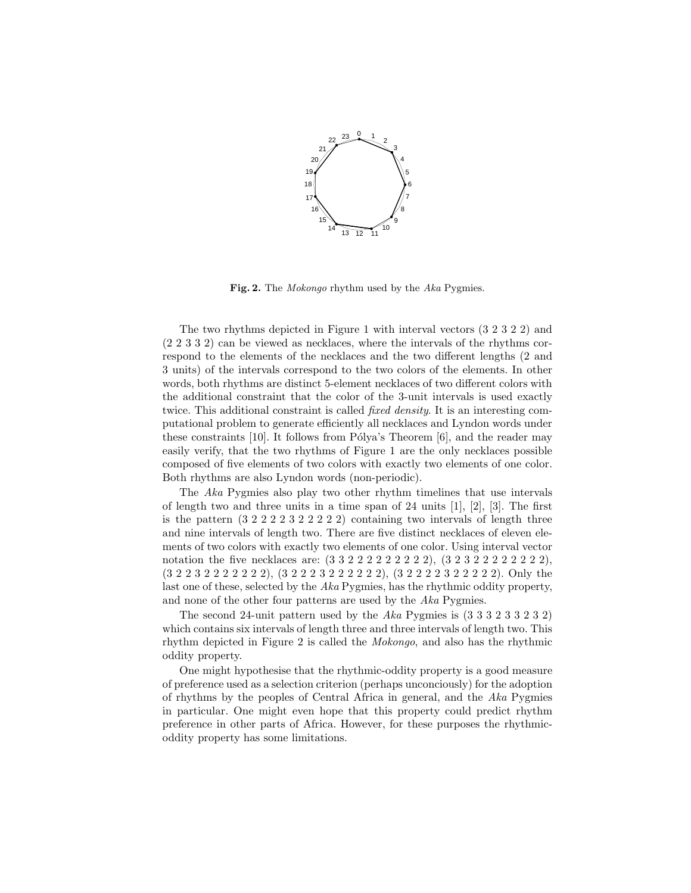

Fig. 2. The *Mokongo* rhythm used by the Aka Pygmies.

The two rhythms depicted in Figure 1 with interval vectors (3 2 3 2 2) and (2 2 3 3 2) can be viewed as necklaces, where the intervals of the rhythms correspond to the elements of the necklaces and the two different lengths (2 and 3 units) of the intervals correspond to the two colors of the elements. In other words, both rhythms are distinct 5-element necklaces of two different colors with the additional constraint that the color of the 3-unit intervals is used exactly twice. This additional constraint is called *fixed density*. It is an interesting computational problem to generate efficiently all necklaces and Lyndon words under these constraints  $[10]$ . It follows from Pólya's Theorem  $[6]$ , and the reader may easily verify, that the two rhythms of Figure 1 are the only necklaces possible composed of five elements of two colors with exactly two elements of one color. Both rhythms are also Lyndon words (non-periodic).

The Aka Pygmies also play two other rhythm timelines that use intervals of length two and three units in a time span of 24 units  $[1], [2], [3]$ . The first is the pattern  $(3\ 2\ 2\ 2\ 2\ 3\ 2\ 2\ 2\ 2)$  containing two intervals of length three and nine intervals of length two. There are five distinct necklaces of eleven elements of two colors with exactly two elements of one color. Using interval vector notation the five necklaces are:  $(3\ 3\ 2\ 2\ 2\ 2\ 2\ 2\ 2\ 2), (3\ 2\ 3\ 2\ 2\ 2\ 2\ 2\ 2\ 2\ 2),$ (3 2 2 3 2 2 2 2 2 2 2), (3 2 2 2 3 2 2 2 2 2 2), (3 2 2 2 2 3 2 2 2 2 2). Only the last one of these, selected by the Aka Pygmies, has the rhythmic oddity property, and none of the other four patterns are used by the Aka Pygmies.

The second 24-unit pattern used by the Aka Pygmies is  $(3\ 3\ 3\ 2\ 3\ 3\ 2\ 3\ 2)$ which contains six intervals of length three and three intervals of length two. This rhythm depicted in Figure 2 is called the Mokongo, and also has the rhythmic oddity property.

One might hypothesise that the rhythmic-oddity property is a good measure of preference used as a selection criterion (perhaps unconciously) for the adoption of rhythms by the peoples of Central Africa in general, and the Aka Pygmies in particular. One might even hope that this property could predict rhythm preference in other parts of Africa. However, for these purposes the rhythmicoddity property has some limitations.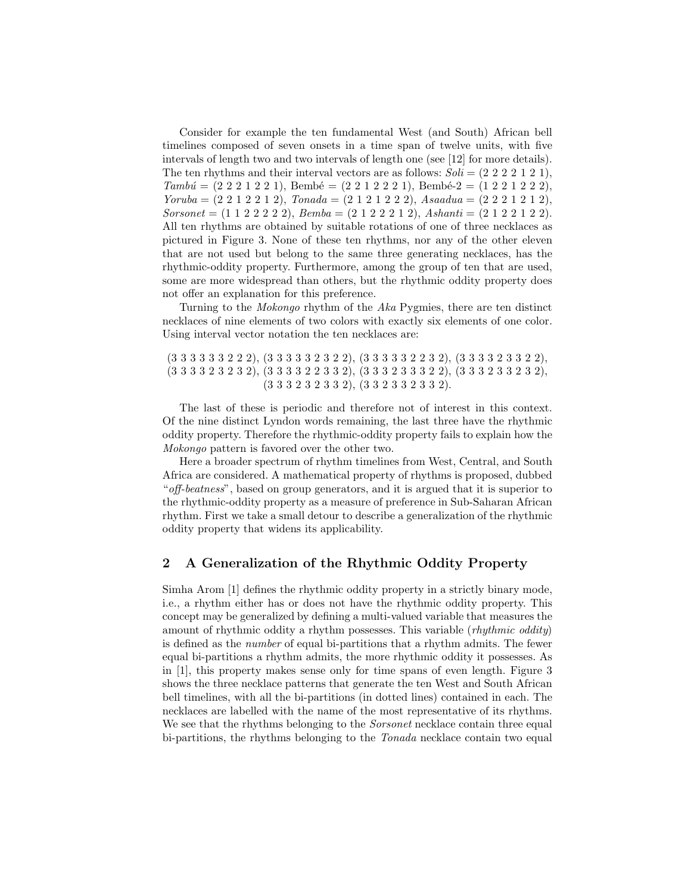Consider for example the ten fundamental West (and South) African bell timelines composed of seven onsets in a time span of twelve units, with five intervals of length two and two intervals of length one (see [12] for more details). The ten rhythms and their interval vectors are as follows:  $Soli = (2\ 2\ 2\ 2\ 1\ 2\ 1),$  $Tambu' = (2 \ 2 \ 2 \ 1 \ 2 \ 2 \ 1),$  Bembé =  $(2 \ 2 \ 1 \ 2 \ 2 \ 2 \ 1),$  Bembé- $2 = (1 \ 2 \ 2 \ 1 \ 2 \ 2 \ 2),$  $Yoruba = (2 \ 2 \ 1 \ 2 \ 2 \ 1 \ 2),$   $Tonada = (2 \ 1 \ 2 \ 1 \ 2 \ 2),$   $Asaadua = (2 \ 2 \ 2 \ 1 \ 2 \ 1 \ 2),$  $Sorsonet = (1 1 2 2 2 2 2), Bemba = (2 1 2 2 2 1 2), Ashanti = (2 1 2 2 1 2 2).$ All ten rhythms are obtained by suitable rotations of one of three necklaces as pictured in Figure 3. None of these ten rhythms, nor any of the other eleven that are not used but belong to the same three generating necklaces, has the rhythmic-oddity property. Furthermore, among the group of ten that are used, some are more widespread than others, but the rhythmic oddity property does not offer an explanation for this preference.

Turning to the Mokongo rhythm of the Aka Pygmies, there are ten distinct necklaces of nine elements of two colors with exactly six elements of one color. Using interval vector notation the ten necklaces are:

(3 3 3 3 3 3 2 2 2), (3 3 3 3 3 2 3 2 2), (3 3 3 3 3 2 2 3 2), (3 3 3 3 2 3 3 2 2), (3 3 3 3 2 3 2 3 2), (3 3 3 3 2 2 3 3 2), (3 3 3 2 3 3 3 2 2), (3 3 3 2 3 3 2 3 2), (3 3 3 2 3 2 3 3 2), (3 3 2 3 3 2 3 3 2).

The last of these is periodic and therefore not of interest in this context. Of the nine distinct Lyndon words remaining, the last three have the rhythmic oddity property. Therefore the rhythmic-oddity property fails to explain how the Mokongo pattern is favored over the other two.

Here a broader spectrum of rhythm timelines from West, Central, and South Africa are considered. A mathematical property of rhythms is proposed, dubbed "off-beatness", based on group generators, and it is argued that it is superior to the rhythmic-oddity property as a measure of preference in Sub-Saharan African rhythm. First we take a small detour to describe a generalization of the rhythmic oddity property that widens its applicability.

## 2 A Generalization of the Rhythmic Oddity Property

Simha Arom [1] defines the rhythmic oddity property in a strictly binary mode, i.e., a rhythm either has or does not have the rhythmic oddity property. This concept may be generalized by defining a multi-valued variable that measures the amount of rhythmic oddity a rhythm possesses. This variable (*rhythmic oddity*) is defined as the number of equal bi-partitions that a rhythm admits. The fewer equal bi-partitions a rhythm admits, the more rhythmic oddity it possesses. As in [1], this property makes sense only for time spans of even length. Figure 3 shows the three necklace patterns that generate the ten West and South African bell timelines, with all the bi-partitions (in dotted lines) contained in each. The necklaces are labelled with the name of the most representative of its rhythms. We see that the rhythms belonging to the *Sorsonet* necklace contain three equal bi-partitions, the rhythms belonging to the *Tonada* necklace contain two equal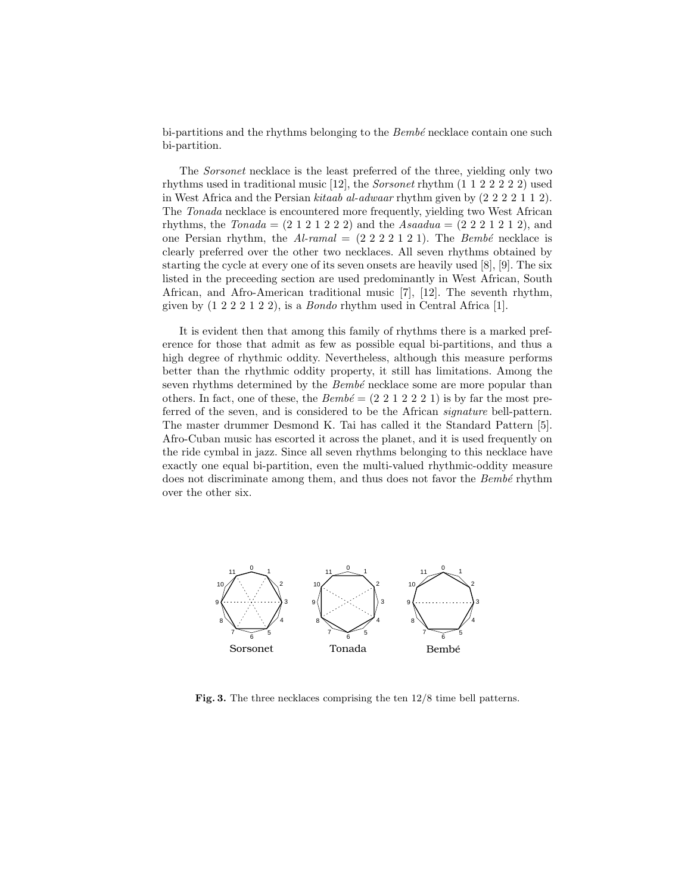bi-partitions and the rhythms belonging to the  $Bemb\acute{e}$  necklace contain one such bi-partition.

The Sorsonet necklace is the least preferred of the three, yielding only two rhythms used in traditional music [12], the Sorsonet rhythm (1 1 2 2 2 2 2) used in West Africa and the Persian kitaab al-adwaar rhythm given by (2 2 2 2 1 1 2). The Tonada necklace is encountered more frequently, yielding two West African rhythms, the  $Tonada = (2 1 2 1 2 2 2)$  and the  $Asaadua = (2 2 2 1 2 1 2)$ , and one Persian rhythm, the  $Al\text{-}ramal = (2\ 2\ 2\ 2\ 1\ 2\ 1)$ . The Bembé necklace is clearly preferred over the other two necklaces. All seven rhythms obtained by starting the cycle at every one of its seven onsets are heavily used [8], [9]. The six listed in the preceeding section are used predominantly in West African, South African, and Afro-American traditional music [7], [12]. The seventh rhythm, given by  $(1\ 2\ 2\ 2\ 1\ 2\ 2)$ , is a *Bondo* rhythm used in Central Africa [1].

It is evident then that among this family of rhythms there is a marked preference for those that admit as few as possible equal bi-partitions, and thus a high degree of rhythmic oddity. Nevertheless, although this measure performs better than the rhythmic oddity property, it still has limitations. Among the seven rhythms determined by the  $Bemb\acute{e}$  necklace some are more popular than others. In fact, one of these, the  $Bemb\acute{e} = (2\ 2\ 1\ 2\ 2\ 2\ 1)$  is by far the most preferred of the seven, and is considered to be the African signature bell-pattern. The master drummer Desmond K. Tai has called it the Standard Pattern [5]. Afro-Cuban music has escorted it across the planet, and it is used frequently on the ride cymbal in jazz. Since all seven rhythms belonging to this necklace have exactly one equal bi-partition, even the multi-valued rhythmic-oddity measure does not discriminate among them, and thus does not favor the Bembé rhythm over the other six.



Fig. 3. The three necklaces comprising the ten 12/8 time bell patterns.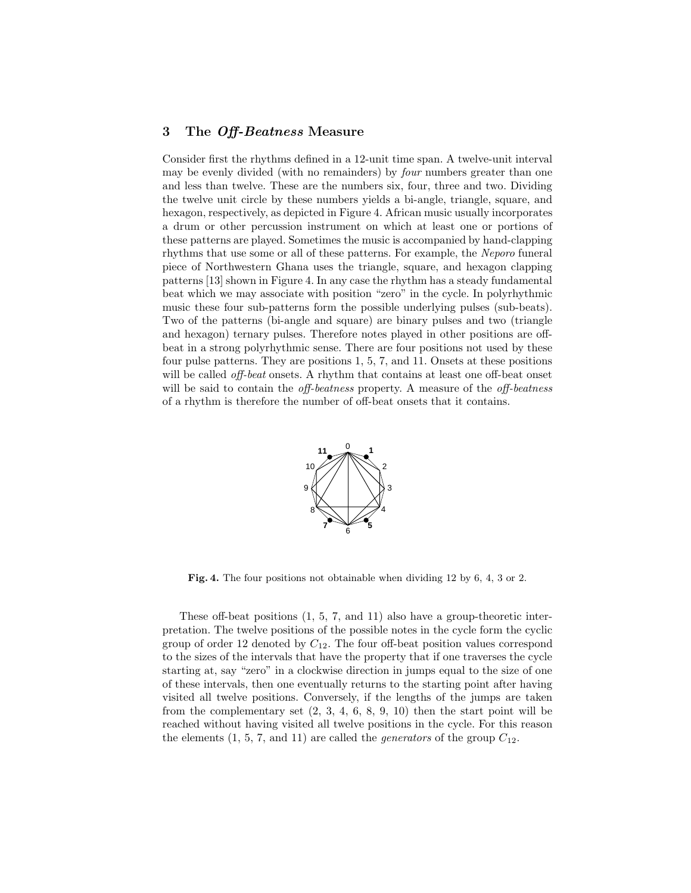#### 3 The Off-Beatness Measure

Consider first the rhythms defined in a 12-unit time span. A twelve-unit interval may be evenly divided (with no remainders) by *four* numbers greater than one and less than twelve. These are the numbers six, four, three and two. Dividing the twelve unit circle by these numbers yields a bi-angle, triangle, square, and hexagon, respectively, as depicted in Figure 4. African music usually incorporates a drum or other percussion instrument on which at least one or portions of these patterns are played. Sometimes the music is accompanied by hand-clapping rhythms that use some or all of these patterns. For example, the Neporo funeral piece of Northwestern Ghana uses the triangle, square, and hexagon clapping patterns [13] shown in Figure 4. In any case the rhythm has a steady fundamental beat which we may associate with position "zero" in the cycle. In polyrhythmic music these four sub-patterns form the possible underlying pulses (sub-beats). Two of the patterns (bi-angle and square) are binary pulses and two (triangle and hexagon) ternary pulses. Therefore notes played in other positions are offbeat in a strong polyrhythmic sense. There are four positions not used by these four pulse patterns. They are positions 1, 5, 7, and 11. Onsets at these positions will be called *off-beat* onsets. A rhythm that contains at least one off-beat onset will be said to contain the *off-beatness* property. A measure of the *off-beatness* of a rhythm is therefore the number of off-beat onsets that it contains.



Fig. 4. The four positions not obtainable when dividing 12 by 6, 4, 3 or 2.

These off-beat positions (1, 5, 7, and 11) also have a group-theoretic interpretation. The twelve positions of the possible notes in the cycle form the cyclic group of order 12 denoted by  $C_{12}$ . The four off-beat position values correspond to the sizes of the intervals that have the property that if one traverses the cycle starting at, say "zero" in a clockwise direction in jumps equal to the size of one of these intervals, then one eventually returns to the starting point after having visited all twelve positions. Conversely, if the lengths of the jumps are taken from the complementary set  $(2, 3, 4, 6, 8, 9, 10)$  then the start point will be reached without having visited all twelve positions in the cycle. For this reason the elements  $(1, 5, 7, \text{ and } 11)$  are called the *generators* of the group  $C_{12}$ .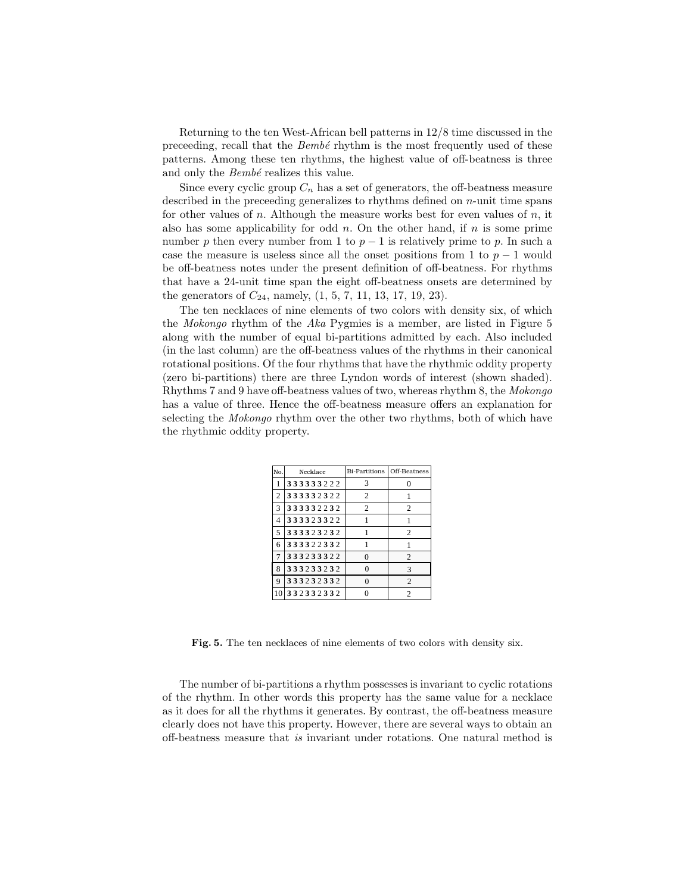Returning to the ten West-African bell patterns in 12/8 time discussed in the preceeding, recall that the  $Bemb\acute{e}$  rhythm is the most frequently used of these patterns. Among these ten rhythms, the highest value of off-beatness is three and only the  $Bemb\acute{e}$  realizes this value.

Since every cyclic group  $C_n$  has a set of generators, the off-beatness measure described in the preceeding generalizes to rhythms defined on n-unit time spans for other values of n. Although the measure works best for even values of n, it also has some applicability for odd  $n$ . On the other hand, if  $n$  is some prime number p then every number from 1 to  $p-1$  is relatively prime to p. In such a case the measure is useless since all the onset positions from 1 to  $p-1$  would be off-beatness notes under the present definition of off-beatness. For rhythms that have a 24-unit time span the eight off-beatness onsets are determined by the generators of  $C_{24}$ , namely,  $(1, 5, 7, 11, 13, 17, 19, 23)$ .

The ten necklaces of nine elements of two colors with density six, of which the Mokongo rhythm of the Aka Pygmies is a member, are listed in Figure 5 along with the number of equal bi-partitions admitted by each. Also included (in the last column) are the off-beatness values of the rhythms in their canonical rotational positions. Of the four rhythms that have the rhythmic oddity property (zero bi-partitions) there are three Lyndon words of interest (shown shaded). Rhythms 7 and 9 have off-beatness values of two, whereas rhythm 8, the Mokongo has a value of three. Hence the off-beatness measure offers an explanation for selecting the *Mokongo* rhythm over the other two rhythms, both of which have the rhythmic oddity property.

| No. | Necklace  | Bi-Partitions  | Off-Beatness   |
|-----|-----------|----------------|----------------|
| 1   | 333333222 | 3              |                |
| 2   | 333332322 | 2              |                |
| 3   | 333332232 | $\overline{c}$ | 2              |
| 4   | 333323322 |                |                |
| 5   | 333323232 |                | $\overline{c}$ |
| 6   | 333322332 |                |                |
| 7   | 333233322 | 0              | 2              |
| 8   | 333233232 |                | 3              |
| 9   | 333232332 | $\Omega$       | $\overline{c}$ |
|     | 332332332 |                | 2              |

Fig. 5. The ten necklaces of nine elements of two colors with density six.

The number of bi-partitions a rhythm possesses is invariant to cyclic rotations of the rhythm. In other words this property has the same value for a necklace as it does for all the rhythms it generates. By contrast, the off-beatness measure clearly does not have this property. However, there are several ways to obtain an off-beatness measure that is invariant under rotations. One natural method is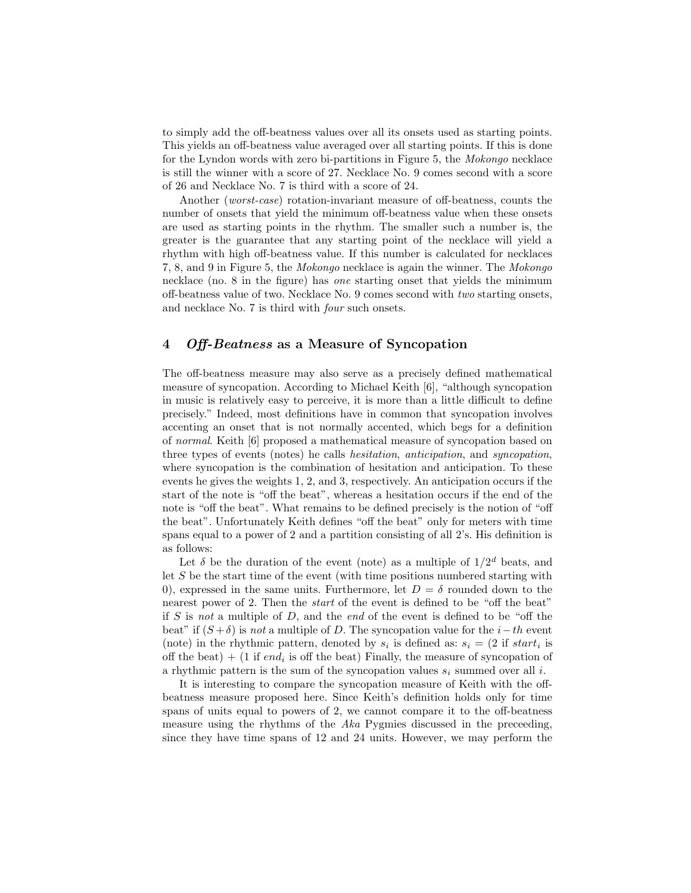to simply add the off-beatness values over all its onsets used as starting points. This yields an off-beatness value averaged over all starting points. If this is done for the Lyndon words with zero bi-partitions in Figure 5, the Mokongo necklace is still the winner with a score of 27. Necklace No. 9 comes second with a score of 26 and Necklace No. 7 is third with a score of 24.

Another (*worst-case*) rotation-invariant measure of off-beatness, counts the number of onsets that yield the minimum off-beatness value when these onsets are used as starting points in the rhythm. The smaller such a number is, the greater is the guarantee that any starting point of the necklace will yield a rhythm with high off-beatness value. If this number is calculated for necklaces 7, 8, and 9 in Figure 5, the Mokongo necklace is again the winner. The Mokongo necklace (no. 8 in the figure) has one starting onset that yields the minimum off-beatness value of two. Necklace No. 9 comes second with two starting onsets, and necklace No. 7 is third with four such onsets.

### 4 Off-Beatness as a Measure of Syncopation

The off-beatness measure may also serve as a precisely defined mathematical measure of syncopation. According to Michael Keith [6], "although syncopation in music is relatively easy to perceive, it is more than a little difficult to define precisely." Indeed, most definitions have in common that syncopation involves accenting an onset that is not normally accented, which begs for a definition of normal. Keith [6] proposed a mathematical measure of syncopation based on three types of events (notes) he calls hesitation, anticipation, and syncopation, where syncopation is the combination of hesitation and anticipation. To these events he gives the weights 1, 2, and 3, respectively. An anticipation occurs if the start of the note is "off the beat", whereas a hesitation occurs if the end of the note is "off the beat". What remains to be defined precisely is the notion of "off the beat". Unfortunately Keith defines "off the beat" only for meters with time spans equal to a power of 2 and a partition consisting of all 2's. His definition is as follows:

Let  $\delta$  be the duration of the event (note) as a multiple of  $1/2^d$  beats, and let S be the start time of the event (with time positions numbered starting with 0), expressed in the same units. Furthermore, let  $D = \delta$  rounded down to the nearest power of 2. Then the start of the event is defined to be "off the beat" if S is not a multiple of D, and the end of the event is defined to be "off the beat" if  $(S + \delta)$  is not a multiple of D. The syncopation value for the i–th event (note) in the rhythmic pattern, denoted by  $s_i$  is defined as:  $s_i = (2 \text{ if } start_i \text{ is})$ off the beat)  $+$  (1 if end<sub>i</sub> is off the beat) Finally, the measure of syncopation of a rhythmic pattern is the sum of the syncopation values  $s_i$  summed over all i.

It is interesting to compare the syncopation measure of Keith with the offbeatness measure proposed here. Since Keith's definition holds only for time spans of units equal to powers of 2, we cannot compare it to the off-beatness measure using the rhythms of the Aka Pygmies discussed in the preceeding, since they have time spans of 12 and 24 units. However, we may perform the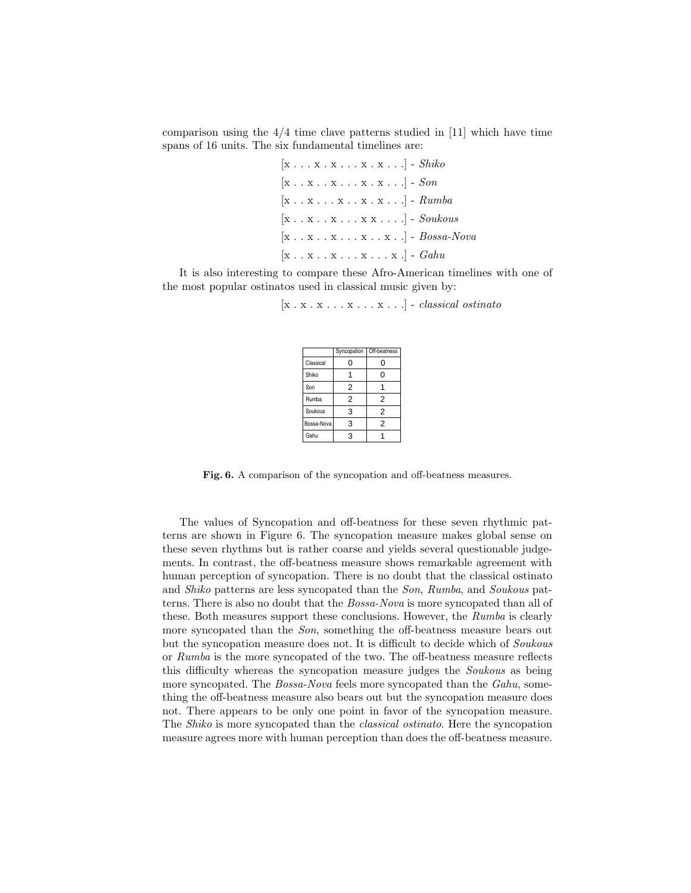comparison using the  $4/4$  time clave patterns studied in [11] which have time spans of 16 units. The six fundamental timelines are:

> $[x \dots x \dots x \dots x \dots x \dots]$  -  $\mathit{Shiko}$  $[x \dots x \dots x \dots x \dots x]$  - Son  $[x \dots x \dots x \dots x \dots x \dots]$  -  $Rumba$  $[x \dots x \dots x \dots x x \dots]$  - Soukous  $[x \dots x \dots x \dots x \dots x \dots]$  -  $Bossa-Nova$  $[x \dots x \dots x \dots x \dots x]$  -  $Gahu$

It is also interesting to compare these Afro-American timelines with one of the most popular ostinatos used in classical music given by:

 $[x x x x x x x x x x x ]$  -  $classical$  ostinato

|            | Syncopation    | Off-beatness   |
|------------|----------------|----------------|
| Classical  | 0              | Ω              |
| Shiko      |                | 0              |
| Son        | $\overline{2}$ |                |
| Rumba      | 2              | $\overline{2}$ |
| Soukous    | 3              | 2              |
| Bossa-Nova | 3              | 2              |
| Gahu       | 3              |                |

Fig. 6. A comparison of the syncopation and off-beatness measures.

The values of Syncopation and off-beatness for these seven rhythmic patterns are shown in Figure 6. The syncopation measure makes global sense on these seven rhythms but is rather coarse and yields several questionable judgements. In contrast, the off-beatness measure shows remarkable agreement with human perception of syncopation. There is no doubt that the classical ostinato and Shiko patterns are less syncopated than the Son, Rumba, and Soukous patterns. There is also no doubt that the Bossa-Nova is more syncopated than all of these. Both measures support these conclusions. However, the Rumba is clearly more syncopated than the *Son*, something the off-beatness measure bears out but the syncopation measure does not. It is difficult to decide which of Soukous or Rumba is the more syncopated of the two. The off-beatness measure reflects this difficulty whereas the syncopation measure judges the Soukous as being more syncopated. The Bossa-Nova feels more syncopated than the Gahu, something the off-beatness measure also bears out but the syncopation measure does not. There appears to be only one point in favor of the syncopation measure. The Shiko is more syncopated than the classical ostinato. Here the syncopation measure agrees more with human perception than does the off-beatness measure.